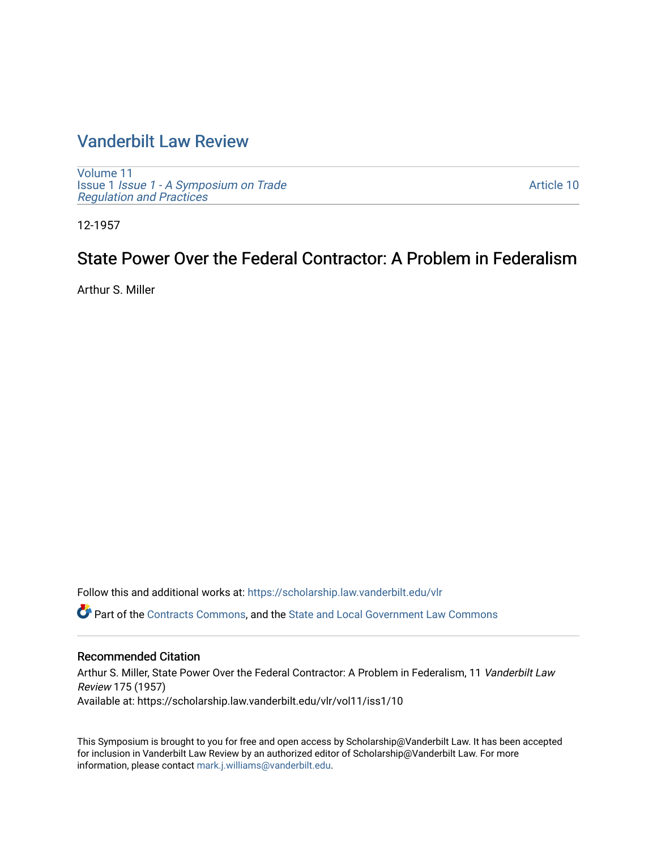# [Vanderbilt Law Review](https://scholarship.law.vanderbilt.edu/vlr)

[Volume 11](https://scholarship.law.vanderbilt.edu/vlr/vol11) Issue 1 [Issue 1 - A Symposium on Trade](https://scholarship.law.vanderbilt.edu/vlr/vol11/iss1)  [Regulation and Practices](https://scholarship.law.vanderbilt.edu/vlr/vol11/iss1) 

[Article 10](https://scholarship.law.vanderbilt.edu/vlr/vol11/iss1/10) 

12-1957

# State Power Over the Federal Contractor: A Problem in Federalism

Arthur S. Miller

Follow this and additional works at: [https://scholarship.law.vanderbilt.edu/vlr](https://scholarship.law.vanderbilt.edu/vlr?utm_source=scholarship.law.vanderbilt.edu%2Fvlr%2Fvol11%2Fiss1%2F10&utm_medium=PDF&utm_campaign=PDFCoverPages)

Part of the [Contracts Commons](http://network.bepress.com/hgg/discipline/591?utm_source=scholarship.law.vanderbilt.edu%2Fvlr%2Fvol11%2Fiss1%2F10&utm_medium=PDF&utm_campaign=PDFCoverPages), and the [State and Local Government Law Commons](http://network.bepress.com/hgg/discipline/879?utm_source=scholarship.law.vanderbilt.edu%2Fvlr%2Fvol11%2Fiss1%2F10&utm_medium=PDF&utm_campaign=PDFCoverPages)

## Recommended Citation

Arthur S. Miller, State Power Over the Federal Contractor: A Problem in Federalism, 11 Vanderbilt Law Review 175 (1957) Available at: https://scholarship.law.vanderbilt.edu/vlr/vol11/iss1/10

This Symposium is brought to you for free and open access by Scholarship@Vanderbilt Law. It has been accepted for inclusion in Vanderbilt Law Review by an authorized editor of Scholarship@Vanderbilt Law. For more information, please contact [mark.j.williams@vanderbilt.edu](mailto:mark.j.williams@vanderbilt.edu).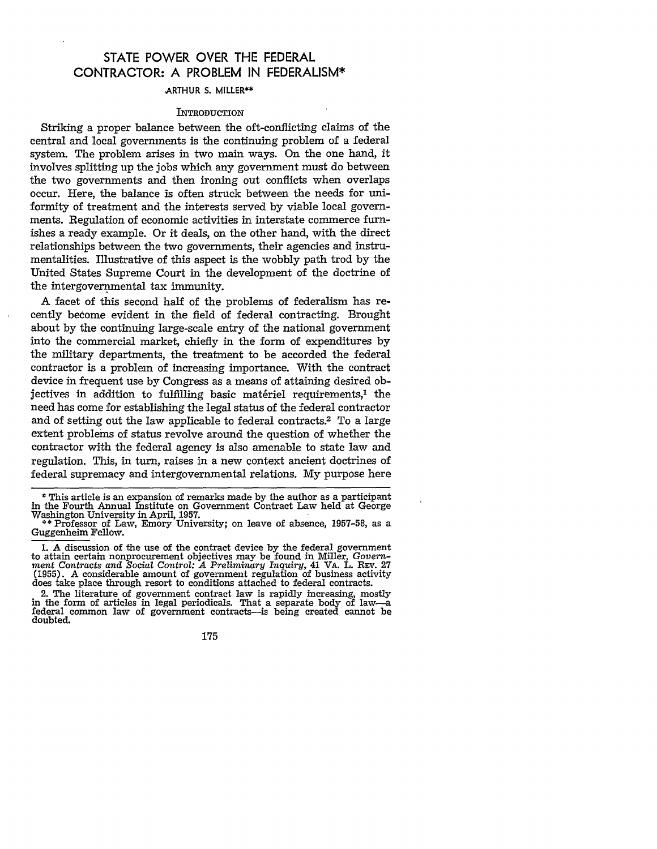# **STATE** POWER OVER THE FEDERAL CONTRACTOR: **A** PROBLEM **IN** FEDERALISM\*

#### ARTHUR **S.** MILLER\*\*

#### **INTRODUCTION**

Striking a proper balance between the oft-conflicting claims of the central and local governments is the continuing problem of a federal system. The problem arises in two main ways. On the one hand, it involves splitting up the jobs which any government must do between the two governments and then ironing out conflicts when overlaps occur. Here, the balance is often struck between the needs for uniformity of treatment and the interests served by viable local governments. Regulation of economic activities in interstate commerce furnishes a ready example. Or it deals, on the other hand, with the direct relationships between the two governments, their agencies and instrumentalities. Illustrative of this aspect is the wobbly path trod by the United States Supreme Court in the development of the doctrine of the intergovernmental tax immunity.

A facet of this second half of the problems of federalism has recently bedome evident in the field of federal contracting. Brought about by the continuing large-scale entry of the national government into the commercial market, chiefly in the form of expenditures by the military departments, the treatment to be accorded the federal contractor is a problem of increasing importance. With the contract device in frequent use by Congress as a means of attaining desired objectives in addition to fulfilling basic matériel requirements,<sup>1</sup> the need has come for establishing the legal status of the federal contractor and of setting out the law applicable to federal contracts.<sup>2</sup> To a large extent problems of status revolve around the question of whether the contractor with the federal agency is also amenable to state law and regulation. This, in turn, raises in a new context ancient doctrines of federal supremacy and intergovernmental relations. My purpose here

2. The literature of government contract law is rapidly increasing, mostly in the form of articles in legal periodicals. That a separate body of law-a federal common law of government contracts-is being created cannot be doubted.

175

<sup>\*</sup> This article is an expansion of remarks made by the author as a participant in the Fourth Annual Institute on Government Contract Law held at George Washington University in April, 1957.

**<sup>\*\*</sup>** Professor of Law, Emory University; on leave of absence, 1957-58, as a Guggenheim Fellow.

<sup>1.</sup> A discussion of the use of the contract device by the federal government to attain certain nonprocurement objectives may be found in Miller, *Govern-ment Contracts and Social Control: A Preliminary Inquiry,* 41 VA. L. REV. 27 (1955). A considerable amount of government regulation of business activity does take place through resort to conditions attached to federal contracts.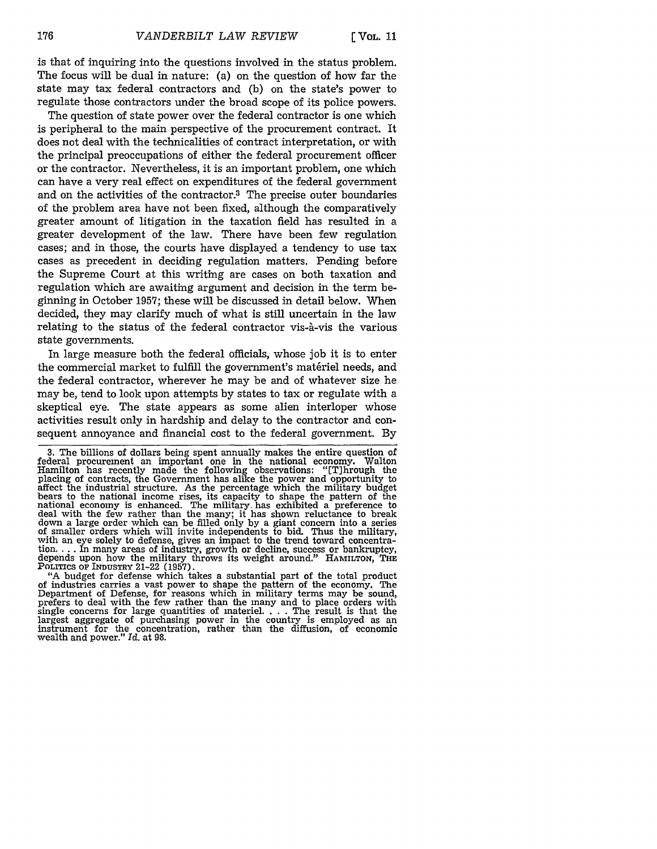is that of inquiring into the questions involved in the status problem. The focus will be dual in nature: (a) on the question of how far the state may tax federal contractors and (b) on the state's power to regulate those contractors under the broad scope of its police powers.

The question of state power over the federal contractor is one which is peripheral to the main perspective of the procurement contract. It does not deal with the technicalities of contract interpretation, or with the principal preoccupations of either the federal procurement officer or the contractor. Nevertheless, it is an important problem, one which can have a very real effect on expenditures of the federal government and on the activities of the contractor.<sup>3</sup> The precise outer boundaries of the problem area have not been fixed, although the comparatively greater amount of litigation in the taxation field has resulted in a greater development of the law. There have been few regulation cases; and in those, the courts have displayed a tendency to use tax cases as precedent in deciding regulation matters. Pending before the Supreme Court at this writing are cases on both taxation and regulation which are awaiting argument and decision in the term beginning in October 1957; these will be discussed in detail below. When decided, they may clarify much of what is still uncertain in the law relating to the status of the federal contractor vis-à-vis the various state governments.

In large measure both the federal officials, whose job it is to enter the commercial market to fulfill the government's matériel needs, and the federal contractor, wherever he may be and of whatever size he may be, tend to look upon attempts by states to tax or regulate with a skeptical eye. The state appears as some alien interloper whose activities result only in hardship and delay to the contractor and consequent annoyance and financial cost to the federal government. By

POLITICS OF INDUSTRY 21-22 (1957).<br>
"A budget for defense which takes a substantial part of the total product<br>
of industries carries a vast power to shape the pattern of the economy. The Department of Defense, for reasons which in military terms may be sound, prefers to deal with the few rather than the many and to place orders with single concerns for large quantities of materiel **....** The result is that the largest aggregate of purchasing power in the country is employed as an instrument for the concentration, rather than the diffusion, of economic wealth and power." *Id.* at 98.

**<sup>3.</sup>** The billions of dollars being spent annually makes the entire question of federal procurement an important one in the national economy. Walton Hamilton has recently made the following observations: "[T]hrough the placing of contracts, the Government has alike the power and opportunity to affect the industrial structure. As the percentage which the military budget national economy is enhanced. The military, has exhibited a preference to deal with the few rather than the many; it has shown reluctance to break down a large order which can be filled only by a giant concern into a series of smaller orders which will invite independents to bid. Thus the military, with an eye solely to defense, gives an impact to the trend toward concentration **....** In many areas of industry, growth or decline, success or bankruptcy, depends upon how the military throws its weight around." HAMILTON, **THE**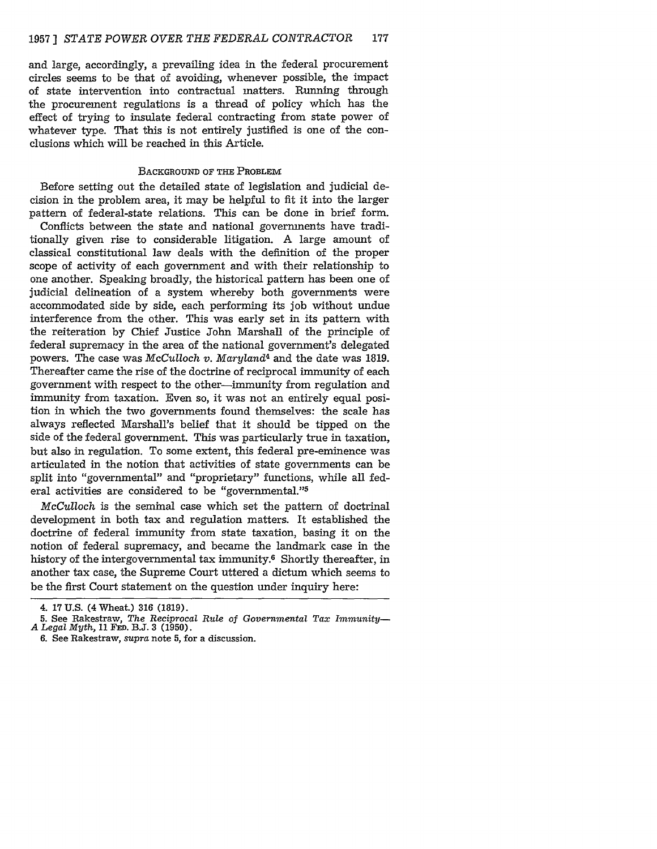and large, accordingly, a prevailing idea in the federal procurement circles seems to be that of avoiding, whenever possible, the impact of state intervention into contractual matters. Running through the procurement regulations is a thread of policy which has the effect of trying to insulate federal contracting from state power of whatever type. That this is not entirely justified is one of the conclusions which will be reached in this Article.

#### BACKGROUND OF THE PROBLEM

Before setting out the detailed state of legislation and judicial decision in the problem area, it may be helpful to fit it into the larger pattern of federal-state relations. This can be done in brief form.

Conflicts between the state and national governments have traditionally given rise to considerable litigation. A large amount of classical constitutional law deals with the definition of the proper scope of activity of each government and with their relationship to one another. Speaking broadly, the historical pattern has been one of judicial delineation of a system whereby both governments were accommodated side by side, each performing its job without undue interference from the other. This was early set in its pattern with the reiteration by Chief Justice John Marshall of the principle of federal supremacy in the area of the national government's delegated powers. The case was McCulloch *v. Maryland4* and the date was 1819. Thereafter came the rise of the doctrine of reciprocal immunity of each government with respect to the other-immunity from regulation and immunity from taxation. Even so, it was not an entirely equal position in which the two governments found themselves: the scale has always reflected Marshall's belief that it should be tipped on the side of the federal government. This was particularly true in taxation, but also in regulation. To some extent, this federal pre-eminence was articulated in the notion that activities of state governments can be split into "governmental" and "proprietary" functions, while all federal activities are considered to be "governmental."<sup>5</sup>

*McCulloch* is the seminal case which set the pattern of doctrinal development in both tax and regulation matters. It established the doctrine of federal immunity from state taxation, basing it on the notion of federal supremacy, and became the landmark case in the history of the intergovernmental tax immunity.6 Shortly thereafter, in another tax case, the Supreme Court uttered a dictum which seems to be the first Court statement on the question under inquiry here:

6. See Rakestraw, *supra* note **5,** for a discussion.

<sup>4. 17</sup> U.S. (4 Wheat.) 316 **(1819).**

**<sup>5.</sup>** See Rakestraw, *The Reciprocal Rule of Governmental Tax Immunity- A Legal Myth,* **11 FED.** B.J. **3 (1950).**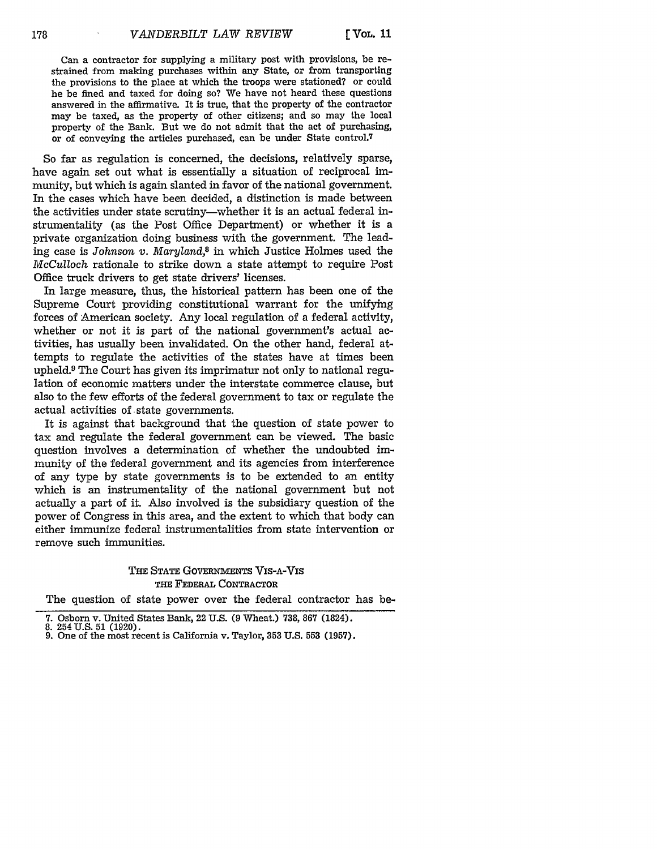Can a contractor for supplying a military post with provisions, be restrained from making purchases within any State, or from transporting the provisions to the place at which the troops were stationed? or could he be fined and taxed for doing so? We have not heard these questions answered in the affirmative. It is true, that the property of the contractor may be taxed, as the property of other citizens; and so may the local property of the Bank. But we do not admit that the act of purchasing, or of conveying the articles purchased, can be under State control.<sup>7</sup>

So far as regulation is concerned, the decisions, relatively sparse, have again set out what is essentially a situation of reciprocal immunity, but which is again slanted in favor of the national government. In the cases which have been decided, a distinction is made between the activities under state scrutiny-whether it is an actual federal instrumentality (as the Post Office Department) or whether it is a private organization doing business with the government. The leading case is *Johnson v. Maryland,8* in which Justice Holmes used the *McCulloch* rationale to strike down a state attempt to require Post Office truck drivers to get state drivers' licenses.

In large measure, thus, the historical pattern has been one of the Supreme Court providing constitutional warrant for the unifying forces of American society. **Any** local regulation of a federal activity, whether or not it is part of the national government's actual activities, has usually been invalidated. On the other hand, federal attempts to regulate the activities of the states have at times been upheld.9 The Court has given its imprimatur not only to national regulation of economic matters under the interstate commerce clause, but also to the few efforts of the federal government to tax or regulate the actual activities of state governments.

It is against that background that the question of state power to tax and regulate the federal government can be viewed. The basic question involves a determination of whether the undoubted immunity of the federal government and its agencies from interference of any type **by** state governments is to be extended to an entity which is an instrumentality of the national government but not actually a part of it. Also involved is the subsidiary question of the power of Congress in this area, and the extent to which that body can either immunize federal instrumentalities from state intervention or remove such immunities.

### **THE STATE GOVERNMENTS** VIS-A-VIS **THE** FEDERAL CONTRACTOR

The question of state power over the federal contractor has be-

**<sup>7.</sup>** Osborn v. United States Bank, 22 U.S. (9 Wheat.) 738, 867 (1824). 8. 254U.S. 51 (1920). 9. One of the most recent is California v. Taylor, **353** U.S. **553** (1957).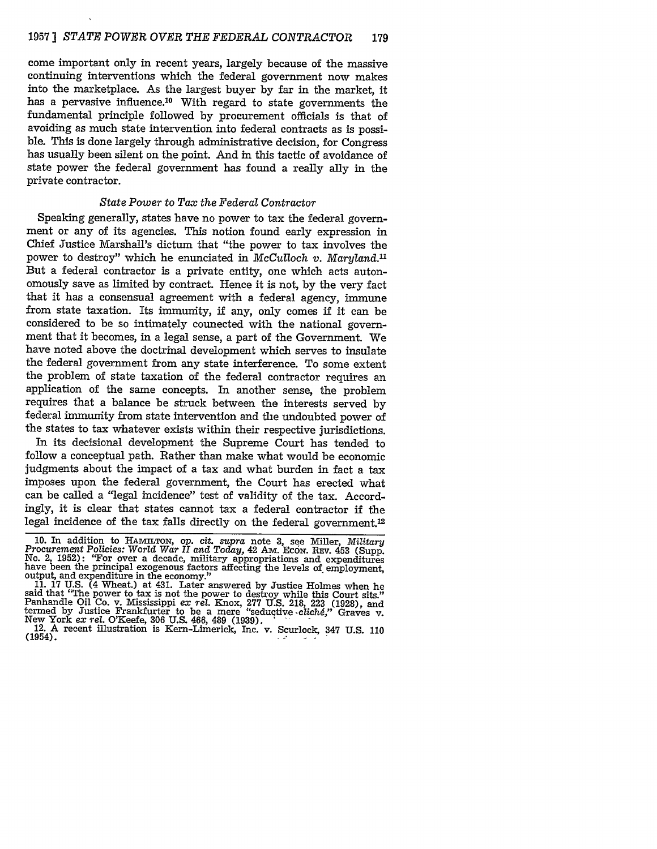come important only in recent years, largely because of the massive continuing interventions which the federal government now makes into the marketplace. As the largest buyer by far in the market, it has a pervasive influence.<sup>10</sup> With regard to state governments the fundamental principle followed by procurement officials is that of avoiding as much state intervention into federal contracts as is possible. This is done largely through administrative decision, for Congress has usually been silent on the point. And in this tactic of avoidance of state power the federal government has found a really ally in the private contractor.

### *State Power* to *Tax the Federal Contractor*

Speaking generally, states have no power to tax the federal government or any of its agencies. This notion found early expression in Chief Justice Marshall's dictum that "the power to tax involves the power to destroy" which he enunciated in *McCulloch v. Maryland."* But a federal contractor is a private entity, one which acts autonomously save as limited by contract. Hence it is not, by the very fact that it has a consensual agreement with a federal agency, immune from state taxation. Its immunity, if any, only comes if it can be considered to be so intimately connected with the national government that it becomes, in a legal sense, a part of the Government. We have noted above the doctrinal development which serves to insulate the federal government from any state interference. To some extent the problem of state taxation of the federal contractor requires an application of the same concepts. In another sense, the problem requires that a balance be struck between the interests served by federal immunity from state intervention and the undoubted power of the states to tax whatever exists within their respective jurisdictions.

In its decisional development the Supreme Court has tended to follow a conceptual path. Rather than make what would be economic judgments about the impact of a tax and what burden in fact a tax imposes upon the federal government, the Court has erected what can be called a "legal incidence" test of validity of the tax. Accordingly, it is clear that states cannot tax a federal contractor if the legal incidence of the tax falls directly on the federal government.<sup>12</sup>

<sup>10.</sup> In addition to HAMILTON, op. cit. supra note 3, see Miller, Military<br>Procurement Policies: World War II and Today, 42 AM. ECON. REV. 453 (Supp.<br>No. 2, 1952): "For over a decade, military appropriations and expenditures

new Work and experimente in the economy.<br>
11. 17 U.S. (4 Wheat.) at 431. Later answered by Justice Holmes when he<br>
said that "The power to tax is not the power to destroy while this Court sits."<br>
Panhandle Oil Co. v. Missi

<sup>(1954).</sup>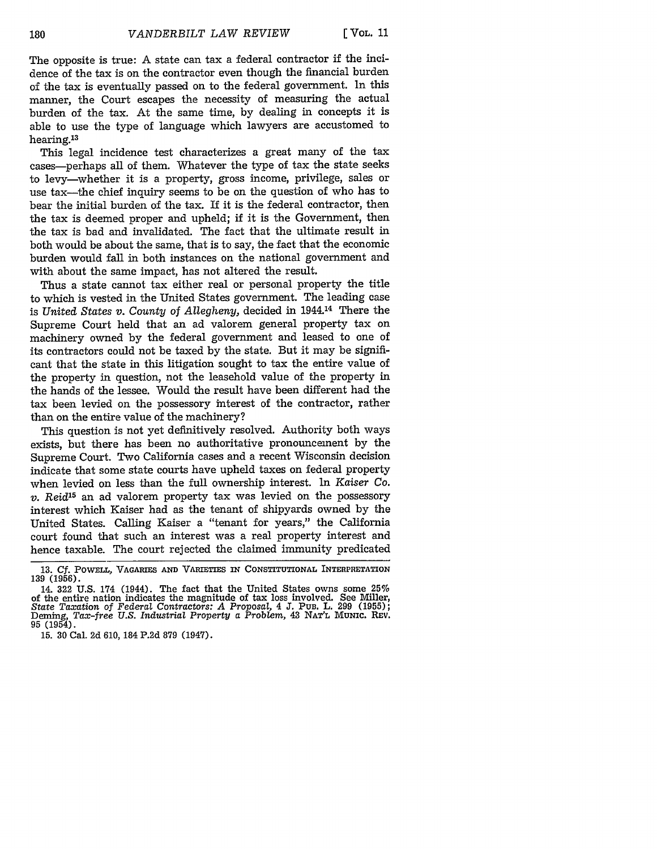The opposite is true: **A** state can tax a federal contractor **if** the incidence of the tax is on the contractor even though the financial burden of the tax is eventually passed on to the federal government. In this manner, the Court escapes the necessity of measuring the actual burden of the tax. At the same time, by dealing in concepts it is able to use the type of language which lawyers are accustomed to hearing.<sup>13</sup>

This legal incidence test characterizes a great many of the tax cases-perhaps all of them. Whatever the type of tax the state seeks to levy-whether it is a property, gross income, privilege, sales or use tax—the chief inquiry seems to be on the question of who has to bear the initial burden of the tax. If it is the federal contractor, then the tax is deemed proper and upheld; if it is the Government, then the tax is bad and invalidated. The fact that the ultimate result in both would be about the same, that is to say, the fact that the economic burden would fall in both instances on the national government and with about the same impact, has not altered the result.

Thus a state cannot tax either real or personal property the title to which is vested in the United States government. The leading case is *United States v. County* of *Allegheny,* decided in 1944.14 There the Supreme Court held that an ad valorem general property tax on machinery owned by the federal government and leased to one of its contractors could not be taxed by the state. But it may be significant that the state in this litigation sought to tax the entire value of the property in question, not the leasehold value of the property in the hands of the lessee. Would the result have been different had the tax been levied on the possessory interest of the contractor, rather than on the entire value of the machinery?

This question is not yet definitively resolved. Authority both ways exists, but there has been no authoritative pronouncement by the Supreme Court. Two California cases and a recent Wisconsin decision indicate that some state courts have upheld taxes on federal property when levied on less than the full ownership interest. In *Kaiser Co. v. Reid15* an ad valorem property tax was levied on the possessory interest which Kaiser had as the tenant of shipyards owned by the United States. Calling Kaiser a "tenant for years," the California court found that such an interest was a real property interest and hence taxable. The court rejected the claimed immunity predicated

15. **30** Cal. 2d 610, 184 P.2d 879 (1947).

**<sup>13.</sup>** *Cf.* **POWELL, VAGARIES AND** VARIETIES **IN** CONSTITUTIONAL INTERPRETATION **139 (1956).**

<sup>14.</sup> **322 U.S.** 174 (1944). The fact that the United States owns some 25% of the entire nation indicates the magnitude of tax loss involved. See Miller, State Taxation of Federal Contractors: A Proposal, 4 J. Pub. L. 299 (1955); Deming, Tax-free U.S. Industrial Property a Problem, 43 NAT'L MUNIC 95 (1954).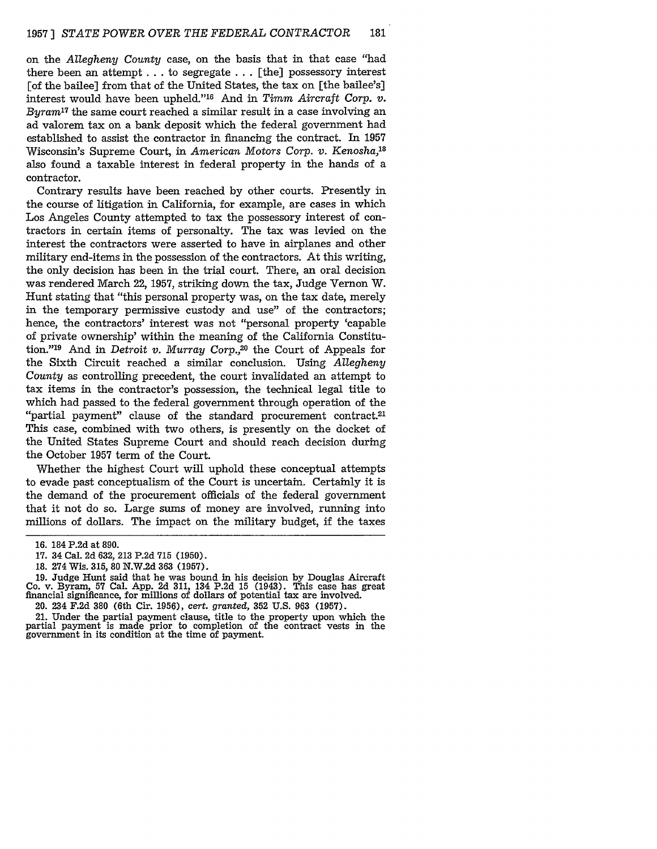on the *Allegheny County* case, on the basis that in that case "had there been an attempt **..** to segregate . . . [the] possessory interest [of the bailee] from that of the United States, the tax on [the bailee's] interest would have been upheld."'16 And in *Timm Aircraft Corp. v. Byram17* the same court reached a similar result in a case involving an ad valorem tax on a bank deposit which the federal government had established to assist the contractor in financing the contract. In 1957 Wisconsin's Supreme Court, in *American Motors Corp.* v. *Kenosha,18* also found a taxable interest in federal property in the hands of a contractor.

Contrary results have been reached by other courts. Presently in the course of litigation in California, for example, are cases in which Los Angeles County attempted to tax the possessory interest of contractors in certain items of personalty. The tax was levied on the interest the contractors were asserted to have in airplanes and other military end-items in the possession of the contractors. At this writing, the only decision has been in the trial court. There, an oral decision was rendered March 22, 1957, striking down the tax, Judge Vernon W. Hunt stating that "this personal property was, on the tax date, merely in the temporary permissive custody and use" of the contractors; hence, the contractors' interest was not "personal property 'capable of private ownership' within the meaning of the California Constitution."<sup>19</sup> And in *Detroit v. Murray Corp.*,<sup>20</sup> the Court of Appeals for the Sixth Circuit reached a similar conclusion. Using *Allegheny County* as controlling precedent, the court invalidated an attempt to tax items in the contractor's possession, the technical legal title to which had passed to the federal government through operation of the "partial payment" clause of the standard procurement contract.<sup>21</sup> This case, combined with two others, is presently on the docket of the United States Supreme Court and should reach decision during the October 1957 term of the Court.

Whether the highest Court will uphold these conceptual attempts to evade past conceptualism of the Court is uncertain. Certainly it is the demand of the procurement officials of the federal government that it not do so. Large sums of money are involved, running into millions of dollars. The impact on the military budget, if the taxes

<sup>16. 184</sup> P.2d at 890.

**<sup>17.</sup>** 34 Cal. 2d 632, **213 P.2d 715 (1950).**

<sup>18. 274</sup> Wis. **315,** 80 N.W.2d 363 (1957).

<sup>19.</sup> Judge Hunt said that he was bound in his decision by Douglas Aircraft Co. v. Byram, **57** Cal. **App. 2d 311, 134 P.2d 15** (1943). This case has great financial significance, for millions of dollars of potential tax are involved.

<sup>20. 234</sup> F.2d 380 (6th Cir. 1956), cert. granted, **352** U.S. 963 (1957).

<sup>21.</sup> Under the partial payment clause, title to the property upon which the partial payment is made prior to completion of the contract vests in the government in its condition at the time of payment.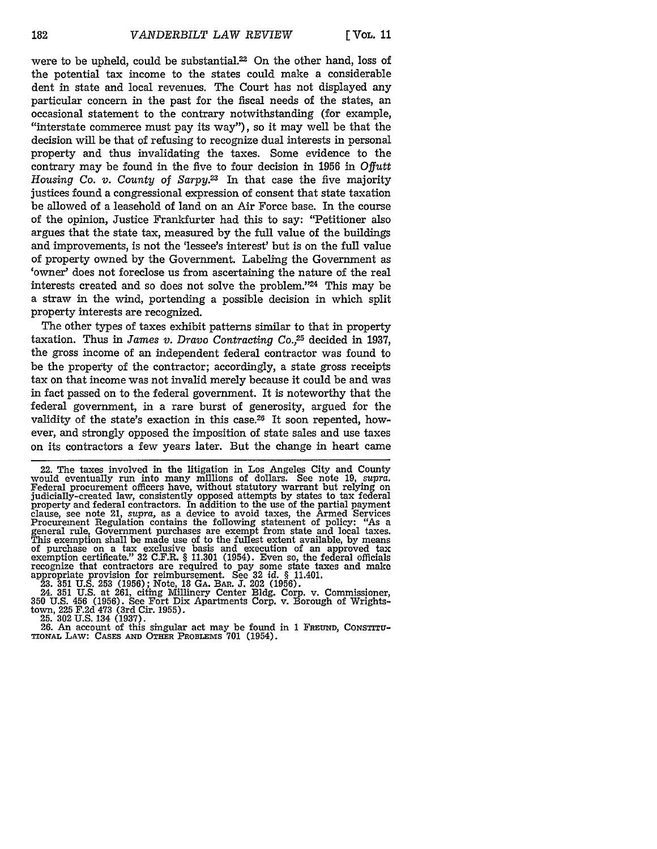**E VOL. 11**

were to be upheld, could be substantial.<sup>22</sup> On the other hand, loss of the potential tax income to the states could make a considerable dent in state and local revenues. The Court has not displayed any particular concern in the past for the fiscal needs of the states, an occasional statement to the contrary notwithstanding (for example, "interstate commerce must pay its way"), so it may well be that the decision will be that of refusing to recognize dual interests in personal property and thus invalidating the taxes. Some evidence to the contrary may be found in the five to four decision in 1956 in *Offutt Housing Co. v. County of Sarpy.23* In that case the five majority justices found a congressional expression of consent that state taxation be allowed of a leasehold of land on an Air Force base. In the course of the opinion, Justice Frankfurter had this to say: "Petitioner also argues that the state tax, measured by the full value of the buildings and improvements, is not the 'lessee's interest' but is on the full value of property owned by the Government. Labeling the Government as 'owner' does not foreclose us from ascertaining the nature of the real interests created and so does not solve the problem."<sup>24</sup> This may be a straw in the wind, portending a possible decision in which split property interests are recognized.

The other types of taxes exhibit patterns similar to that in property taxation. Thus in *James v. Dravo Contracting Co.,25* decided in 1937, the gross income of an independent federal contractor was found to be the property of the contractor; accordingly, a state gross receipts tax on that income was not invalid merely because it could be and was in fact passed on to the federal government. It is noteworthy that the federal government, in a rare burst of generosity, argued for the validity of the state's exaction in this case.26 It soon repented, however, and strongly opposed the imposition of state sales and use taxes on its contractors a few years later. But the change in heart came

23. 351 U.S. 253 (1956); Note, 18 GA. BAR. J. 202 (1956).<br>24. 351 U.S. at 261, citing Millinery Center Bldg. Corp. v. Commissioner,<br>350 U.S. 456 (1956). See Fort Dix Apartments Corp. v. Borough of Wrightstown, 225 F.2d 473 (3rd Cir. 1955).<br>
25. 302 U.S. 134 (1937).<br>
26. An account of this singular act may be found in 1 FREUND, CONSTITU-

26. An account of this singular act may be found in 1 FREUND, CONSTITUTIONAL LAW: CASES AND OTHER PROBLEMS 701 (1954).

<sup>22.</sup> The taxes involved in the litigation in Los Angeles City and County would eventually run into many millions of dollars. See note 19, *supra*. Federal procurement officers have, without statutory warrant but relying on judicially-created law, consistently opposed attempts by states to tax federal property and federal contractors. In addition to the use of the partial payment clause, see note 21, *supra*, as a device to avoid taxes, the A Procurement Regulation contains the following statement of policy: "As a general rule, Government purchases are exempt from state and local taxes. This exemption shall be made use of to the fullest extent available, by means<br>of purchase on a tax exclusive basis and execution of an approved tax<br>exemption certificate."  $32 \text{ C.F.R.}$  § 11.301 (1954). Even so, the federa appropriate provision for reimbursement. See 32 *id.* § 11.401.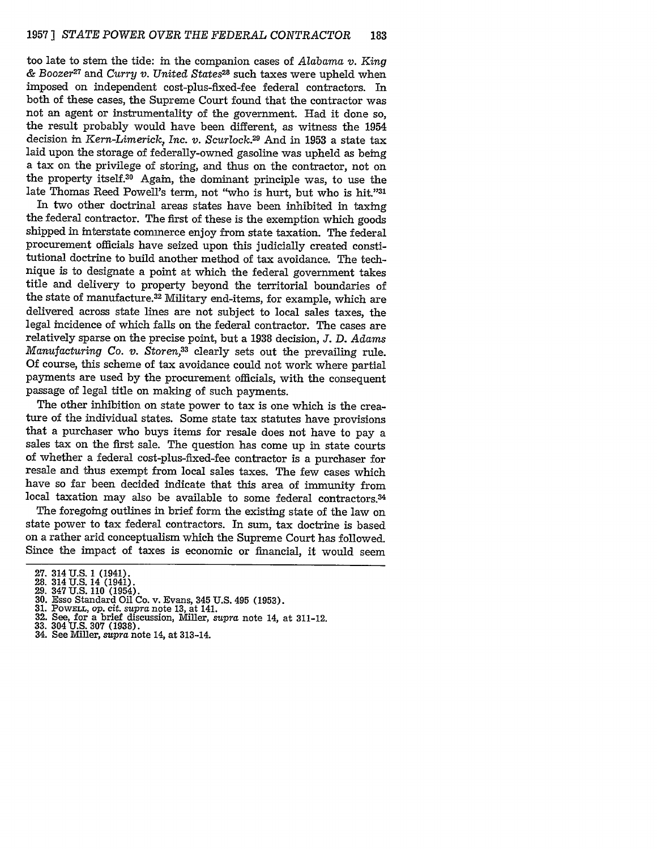too late to stem the tide: in the companion cases of *Alabama v. King & Boozer27* and *Curry v. United States28* such taxes were upheld when imposed on independent cost-plus-fixed-fee federal contractors. In both of these cases, the Supreme Court found that the contractor was not an agent or instrumentality of the government. Had it done so, the result probably would have been different, as witness the 1954 decision in *Kern-Limerick, Inc. v. Scurlock.29* And in 1953 a state tax laid upon the storage of federally-owned gasoline was upheld as being a tax on the privilege of storing, and thus on the contractor, not on the property itself.<sup>30</sup> Again, the dominant principle was, to use the late Thomas Reed Powell's term, not "who is hurt, but who is hit."3

In two other doctrinal areas states have been inhibited in taxing the federal contractor. The first of these is the exemption which goods shipped in interstate commerce enjoy from state taxation. The federal procurement officials have seized upon this judicially created constitutional doctrine to build another method of tax avoidance. The technique is to designate a point at which the federal government takes title and delivery to property beyond the territorial boundaries of the state of manufacture.32 Military end-items, for example, which are delivered across state lines are not subject to local sales taxes, the legal incidence of which falls on the federal contractor. The cases are relatively sparse on the precise point, but a 1938 decision, *J.* D. *Adams Manufacturing Co. v. Storen,33* clearly sets out the prevailing rule. Of course, this scheme of tax avoidance could not work where partial payments are used by the procurement officials, with the consequent passage of legal title on making of such payments.

The other inhibition on state power to tax is one which is the creature of the individual states. Some state tax statutes have provisions that a purchaser who buys items for resale does not have to pay a sales tax on the first sale. The question has come up in state courts of whether a federal cost-plus-fixed-fee contractor is a purchaser for resale and thus exempt from local sales taxes. The few cases which have so far been decided indicate that this area of immunity from local taxation may also be available to some federal contractors.<sup>34</sup>

The foregoing outlines in brief form the existing state of the law on state power to tax federal contractors. In sum, tax doctrine is based on a rather arid conceptualism which the Supreme Court has followed. Since the impact of taxes is economic or financial, it would seem

- 
- **32.** See, for a brief discussion, Miller, *supra* note 14, at 311-12.
- 
- 33. 304 U.S. **307** (1938). 34. See Miller, *supra* note 14, at 313-14.

<sup>27. 314</sup> U.S. 1 (1941).<br>28. 314 U.S. 14 (1941).<br>29. 347 U.S. 110 (1954).<br>30. Esso Standard Oil Co. v. Evans, 345 U.S. 495 (1953).<br>31. Powell, op. cit. supra note 13, at 141.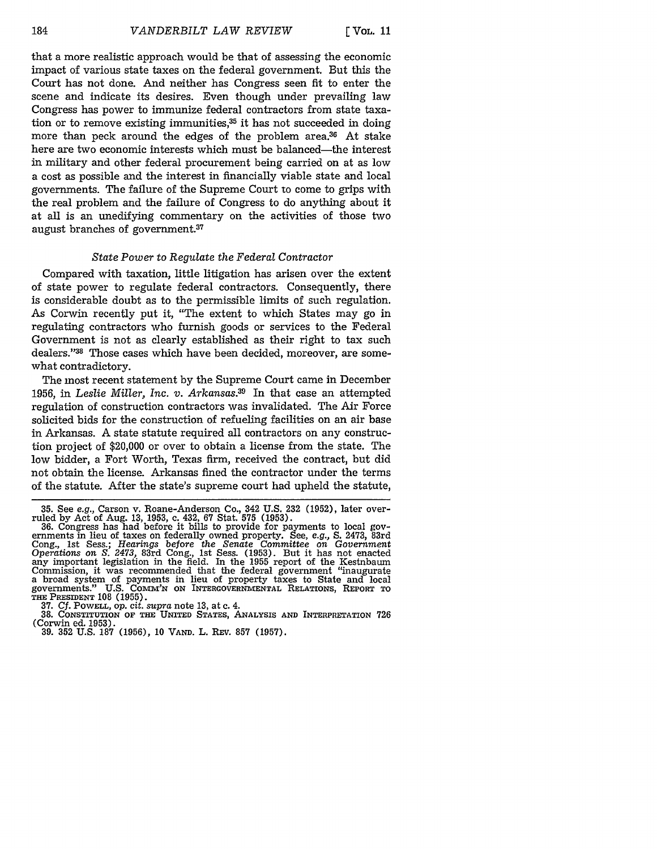that a more realistic approach would be that of assessing the economic impact of various state taxes on the federal government. But this the Court has not done. And neither has Congress seen fit to enter the scene and indicate its desires. Even though under prevailing law Congress has power to immunize federal contractors from state taxation or to remove existing immunities, $35$  it has not succeeded in doing more than peck around the edges of the problem area.<sup>36</sup> At stake here are two economic interests which must be balanced-the interest in military and other federal procurement being carried on at as low a cost as possible and the interest in financially viable state and local governments. The failure of the Supreme Court to come to grips with the real problem and the failure of Congress to do anything about it at all is an unedifying commentary on the activities of those two august branches of government.<sup>37</sup>

#### *State Power* to *Regulate the Federal Contractor*

Compared with taxation, little litigation has arisen over the extent of state power to regulate federal contractors. Consequently, there is considerable doubt as to the permissible limits of such regulation. As Corwin recently put it, "The extent to which States may go in regulating contractors who furnish goods or services to the Federal Government is not as clearly established as their right to tax such dealers."38 Those cases which have been decided, moreover, are somewhat contradictory.

The most recent statement by the Supreme Court came in December 1956, in *Leslie Miller, Inc. v. Arkansas.39* In that case an attempted regulation of construction contractors was invalidated. The Air Force solicited bids for the construction of refueling facilities on an air base in Arkansas. A state statute required all contractors on any construction project of \$20,000 or over to obtain a license from the state. The low bidder, a Fort Worth, Texas firm, received the contract, but did not obtain the license. Arkansas fined the contractor under the terms of the statute. After the state's supreme court had upheld the statute,

<sup>35.</sup> See *e.g.,* Carson v. Roane-Anderson Co., 342 U.S. 232 (1952), later over-

ruled by Act of Aug. 13, 1953, c. 432, 67 Stat. 575 (1953).<br>36. Congress has had before it bills to provide for payments to local governments in lieu of taxes on federally owned property. See, e.g., S. 2473, 83rd Cong., 1st Sess.; *Hearings before* the *Senate Committee on Government Operations on S. 2473,* 83rd Cong., **1st** Sess. (1953). But it has not enacted any important legislation in the field. In the 1955 report of the Kestnbaum Commission, it was recommended that the federal government "inaugurate a broad system of payments in lieu of property taxes to State and local governments." **U.S. COMM'N ON INTERGOVERNMENTAL RELATIONS, REPORT** TO **THE PRESIDENT 108 (1955).**

**<sup>37.</sup> Cf.** POWELL, **op.** *cit. supra* **note 13,** at c. 4.

<sup>38.</sup> CONSTITUTION OF THE UNITED STATES, ANALYSIS AND INTERPRETATION 726 (Corwin ed. 1953).

**<sup>(</sup>Corwin ed. 1953). 39. 352 U.S. 187 (1956), 10 VAND.** L. **REV. 857 (1957).**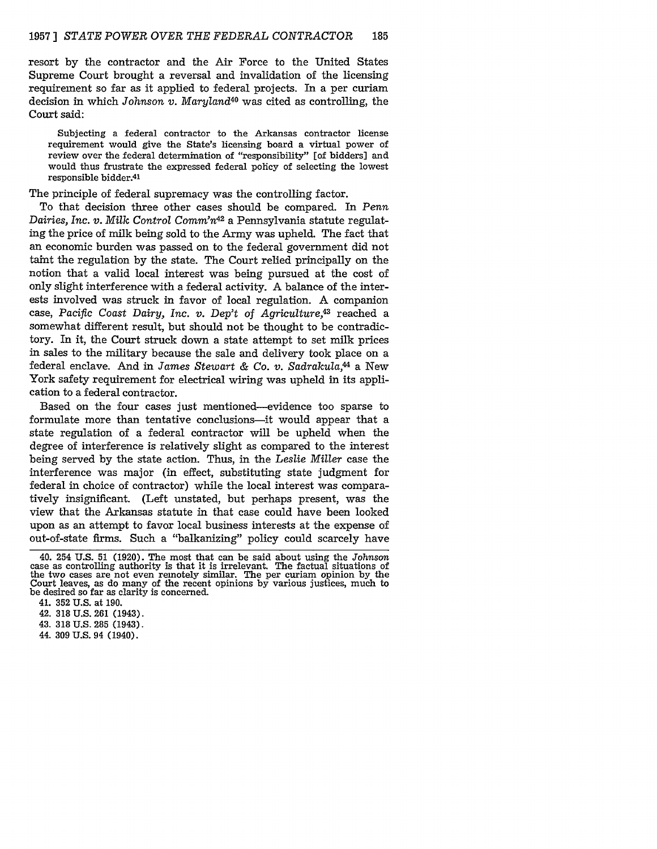resort by the contractor and the Air Force to the United States Supreme Court brought a reversal and invalidation of the licensing requirement so far as it applied to federal projects. In a per curiam decision in which *Johnson v. Maryland40* was cited as controlling, the Court said:

Subjecting a federal contractor to the Arkansas contractor license requirement would give the State's licensing board a virtual power of review over the federal determination of "responsibility" [of bidders] and would thus frustrate the expressed federal policy of selecting the lowest responsible bidder.41

The principle of federal supremacy was the controlling factor.

To that decision three other cases should be compared. In Penn *Dairies, Inc. v. Milk Control Comm'n42* a Pennsylvania statute regulating the price of milk being sold to the Army was upheld. The fact that an economic burden was passed on to the federal government did not taint the regulation by the state. The Court relied principally on the notion that a valid local interest was being pursued at the cost of only slight interference with a federal activity. A balance of the interests involved was struck in favor of local regulation. A companion case, *Pacific Coast Dairy, Inc. v. Dep't* of *Agriculture,43* reached a somewhat different result, but should not be thought to be contradictory. In it, the Court struck down a state attempt to set milk prices in sales to the military because the sale and delivery took place on a federal enclave. And in *James Stewart & Co. v. Sadrakula,* a New York safety requirement for electrical wiring was upheld in its application to a federal contractor.

Based on the four cases just mentioned-evidence too sparse to formulate more than tentative conclusions—it would appear that a state regulation of a federal contractor will be upheld when the degree of interference is relatively slight as compared to the interest being served by the state action. Thus, in the *Leslie Miller* case the interference was major (in effect, substituting state judgment for federal in choice of contractor) while the local interest was comparatively insignificant. (Left unstated, but perhaps present, was the view that the Arkansas statute in that case could have been looked upon as an attempt to favor local business interests at the expense of out-of-state firms. Such a "balkanizing" policy could scarcely have

44. 309 U.S. 94 (1940).

<sup>40. 254</sup> U.S. 51 (1920). The most that can be said about using the *Johnson* case as controlling authority is that it is irrelevant. The factual situations of the two cases are not even remotely similar. The per curiam opinion by the Court leaves, as do many of the recent opinions by various justices, much to be desired so far as clarity is concerned.

<sup>41. 352</sup> U.S. at 190.

<sup>42. 318</sup> U.S. 261 (1943).

<sup>43. 318</sup> U.S. 285 (1943).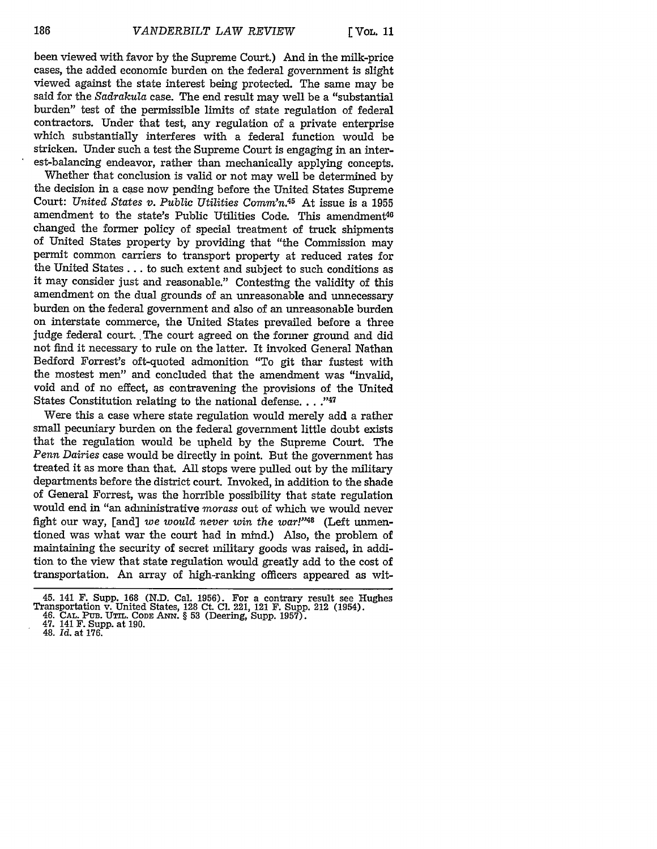$\sqrt{\frac{V}{L}}$ 

been viewed with favor by the Supreme Court.) And in the milk-price cases, the added economic burden on the federal government is slight viewed against the state interest being protected. The same may be said for the Sadrakula case. The end result may well be a "substantial burden" test of the permissible limits of state regulation of federal contractors. Under that test, any regulation of a private enterprise which substantially interferes with a federal function would be stricken. Under such a test the Supreme Court is engaging in an interest-balancing endeavor, rather than mechanically applying concepts.

Whether that conclusion is valid or not may well be determined by the decision in a case now pending before the United States Supreme Court: *United States v. Public Utilities Commn.45* At issue is a 1955 amendment to the state's Public Utilities Code. This amendment<sup>46</sup> changed the former policy of special treatment of truck shipments of United States property by providing that "the Commission may permit common carriers to transport property at reduced rates for the United States **...** to such extent and subject to such conditions as it may consider just and reasonable." Contesting the validity of this amendment on the dual grounds of an unreasonable and unnecessary burden on the federal government and also of an unreasonable burden on interstate commerce, the United States prevailed before a three judge federal court. The court agreed on the former ground and did not find it necessary to rule on the latter. It invoked General Nathan Bedford Forrest's oft-quoted admonition "To git thar fustest with the mostest men" and concluded that the amendment was "invalid, void and of no effect, as contravening the provisions of the United States Constitution relating to the national defense..."47

Were this a case where state regulation would merely add a rather small pecuniary burden on the federal government little doubt exists that the regulation would be upheld by the Supreme Court. The *Penn Dairies* case would be directly in point. But the government has treated it as more than that. All stops were pulled out by the military departments before the district court. Invoked, in addition to the shade of General Forrest, was the horrible possibility that state regulation would end in "an administrative *morass* out of which we would never fight our way, [and] *we would never win the war!"48* (Left unmentioned was what war the court had in mind.) Also, the problem of maintaining the security of secret military goods was raised, in addition to the view that state regulation would greatly add to the cost of transportation. An array of high-ranking officers appeared as wit-

48. *Id.* at 176.

<sup>45. 141</sup> F. Supp. 168 (N.D. Cal. 1956). For a contrary result see Hughes<br>Transportation v. United States, 128 Ct. Cl. 221, 121 F. Supp. 212 (1954).<br>46. CAL. PUB. UTIL. CODE ANN. § 53 (Deering, Supp. 1957).<br>47. 141 F. Supp.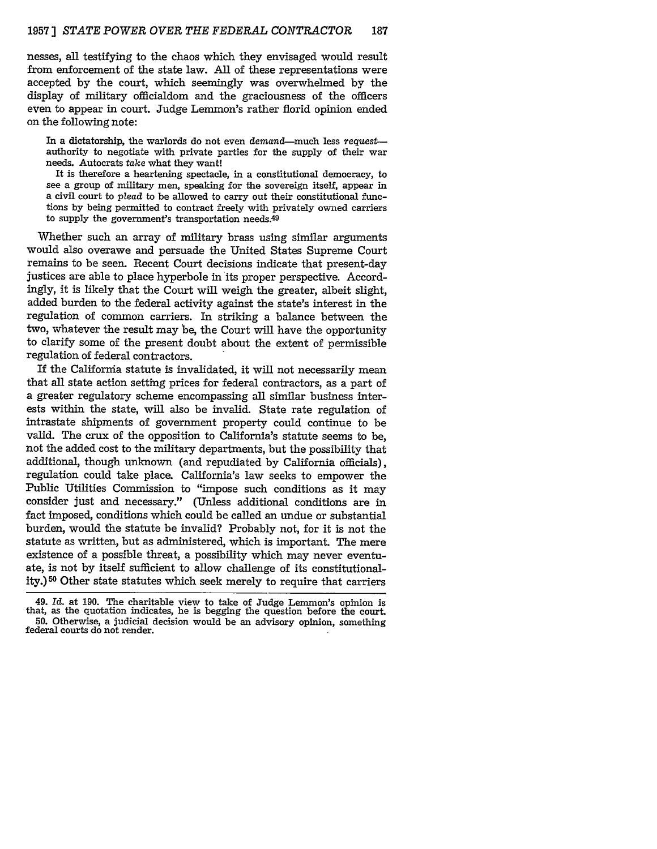nesses, all testifying to the chaos which they envisaged would result from enforcement of the state law. All of these representations were accepted by the court, which seemingly was overwhelmed by the display of military officialdom and the graciousness of the officers even to appear in court. Judge Lemmon's rather florid opinion ended on the following note:

In a dictatorship, the warlords do not even demand-much less *request-* authority to negotiate with private parties for the supply of their war needs. Autocrats take what they want!

It is therefore a heartening spectacle, in a constitutional democracy, to see a group of military men, speaking for the sovereign itself, appear in a civil court to plead to be allowed to carry out their constitutional functions **by** being permitted to contract freely with privately owned carriers to supply the government's transportation needs.49

Vhether such an array of military brass using similar arguments would also overawe and persuade the United States Supreme Court remains to be seen. Recent Court decisions indicate that present-day justices are able to place hyperbole in its proper perspective. Accordingly, it is likely that the Court will weigh the greater, albeit slight, added burden to the federal activity against the state's interest in the regulation of common carriers. In striking a balance between the two, whatever the result may be, the Court will have the opportunity to clarify some of the present doubt about the extent of permissible regulation of federal contractors.

If the California statute is invalidated, it will not necessarily mean that all state action setting prices for federal contractors, as a part of a greater regulatory scheme encompassing all similar business interests within the state, will also be invalid. State rate regulation of intrastate shipments of government property could continue to be valid. The crux of the opposition to California's statute seems to be, not the added cost to the military departments, but the possibility that additional, though unknown (and repudiated by California officials), regulation could take place. California's law seeks to empower the Public Utilities Commission to "impose such conditions as it may consider just and necessary." (Unless additional conditions are in fact imposed, conditions which could be called an undue or substantial burden, would the statute be invalid? Probably not, for it is not the statute as written, but as administered, which is important. The mere existence of a possible threat, a possibility which may never eventuate, is not by itself sufficient to allow challenge of its constitutionality.) **50** Other state statutes which seek merely to require that carriers

<sup>49.</sup> *Id.* at 190. The charitable view to take of Judge Lemmon's opinion is that, as the quotation indicates, he is begging the question before the court. **50.** Otherwise, a judicial decision would be an advisory opinion, something federal courts do not render.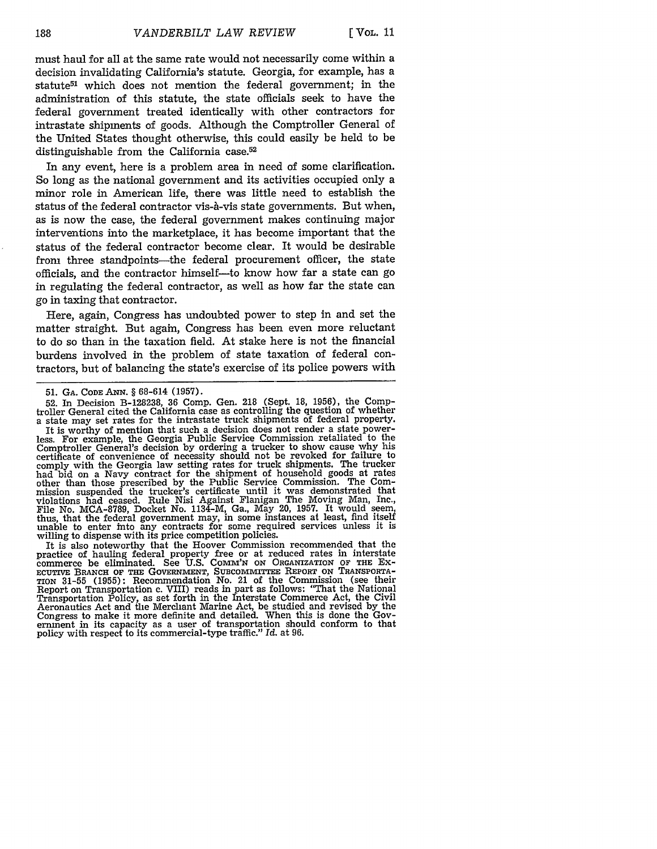must haul for all at the same rate would not necessarily come within a decision invalidating California's statute. Georgia, for example, has a statute<sup>51</sup> which does not mention the federal government; in the administration of this statute, the state officials seek to have the federal government treated identically with other contractors for intrastate shipments of goods. Although the Comptroller General of the United States thought otherwise, this could easily be held to be distinguishable from the California case.<sup>52</sup>

In any event, here is a problem area in need of some clarification. So long as the national government and its activities occupied only a minor role in American life, there was little need to establish the status of the federal contractor vis-a-vis state governments. But when, as is now the case, the federal government makes continuing major interventions into the marketplace, it has become important that the status of the federal contractor become clear. It would be desirable from three standpoints—the federal procurement officer, the state officials, and the contractor himself-to know how far a state can go in regulating the federal contractor, as well as how far the state can go in taxing that contractor.

Here, again, Congress has undoubted power to step in and set the matter straight. But again, Congress has been even more reluctant to do so than in the taxation field. At stake here is not the financial burdens involved in the problem of state taxation of federal contractors, but of balancing the state's exercise of its police powers with

It is worthy of mention that such a decision does not render a state powerless. For example, the Georgia Public Service Commission retaliated to the Comptroller General's decision by ordering a trucker to show cause why his certificate of convenience of necessity should not be revoked for failure to comply with the Georgia law setting rates for truck shipments. The trucker had bid on a Navy contract for the shipment of household goods at rates other than those prescribed by the Public Service Commission. The Com-mission suspended the trucker's certificate until it was demonstrated that violations had ceased. Rule Nisi Against Flanigan The Moving Man, Inc., File No. MCA-8789, Docket No. 1134-M, Ga., May 20, 1957. It would seem, thus, that the federal government may, in some instances at least, find itself unable to enter into any contracts for some required services unless it is willing to dispense with its price competition policies.

It is also noteworthy that the Hoover Commission recommended that the practice of hauling federal property free or at reduced rates in interstate<br>commerce be eliminated. See U.S. COMM'N ON ORGANIZATION OF THE EX-<br>ECUTIVE BRANCH OF THE GOVERNMENT, SUBCOMMITTEE REPORT ON TRANSPORTA-<br>TION 31-55 Report on Transportation c. VIII) reads in part as follows: "That the National Transportation Policy, as set forth in the Interstate Commerce Act, the Civil Aeronautics Act and the Merchant Marine Act, be studied and revised by the Congress to make it more definite and detailed. When this is done the Government in its capacity as a user of transportation should conform to that policy with respect to its commercial-type traffic." *Id.* at 96.

**<sup>51.</sup>** GA. **CODE** ANN. § 68-614 **(1957).**

<sup>52.</sup> In Decision B-128238, 36 Comp. Gen. 218 (Sept. 18, **1956),** the Comptroller General cited the California case as controlling the question of whether a state may set rates for the intrastate truck shipments of federal property.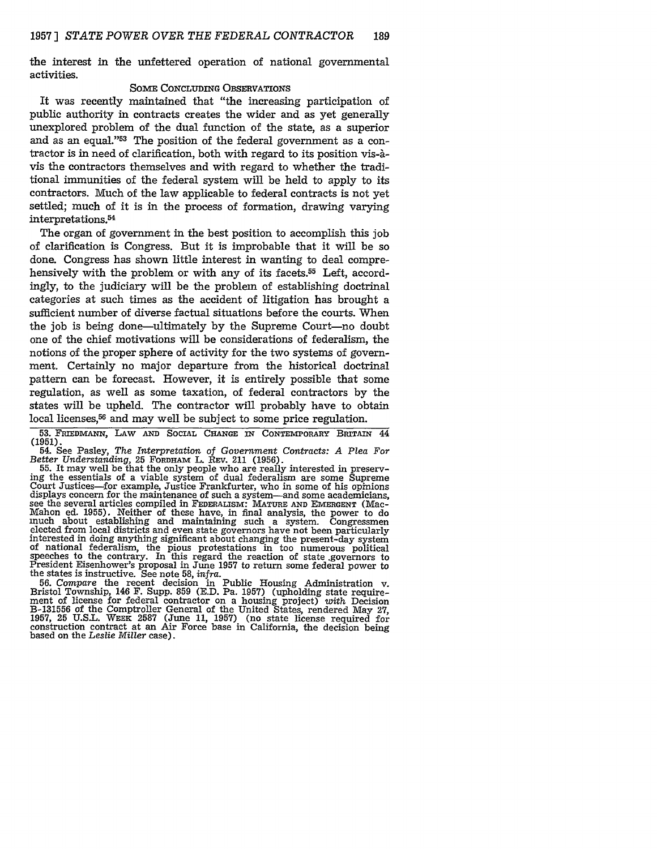the interest in the unfettered operation of national governmental activities.

#### SOME CONCLUDING OBSERVATIONS

It was recently maintained that "the increasing participation of public authority in contracts creates the wider and as yet generally unexplored problem of the dual function of the state, as a superior and as an equal."<sup>53</sup> The position of the federal government as a contractor is in need of clarification, both with regard to its position vis-Avis the contractors themselves and with regard to whether the traditional immunities of the federal system will be held to apply to its contractors. Much of the law applicable to federal contracts is not yet settled; much of it is in the process of formation, drawing varying  $interpretations.<sup>54</sup>$ 

The organ of government in the best position to accomplish this job of clarification is Congress. But it is improbable that it will be so done. Congress has shown little interest in wanting to deal comprehensively with the problem or with any of its facets.<sup>55</sup> Left, accordingly, to the judiciary will be the problem of establishing doctrinal categories at such times as the accident of litigation has brought a sufficient number of diverse factual situations before the courts. When the job is being done—ultimately by the Supreme Court—no doubt one of the chief motivations will be considerations of federalism, the notions of the proper sphere of activity for the two systems of government. Certainly no major departure from the historical doctrinal pattern can be forecast. However, it is entirely possible that some regulation, as well as some taxation, of federal contractors by the states will be upheld. The contractor will probably have to obtain local licenses,<sup>56</sup> and may well be subject to some price regulation.

**53.** FRIEDMANN, LAW **AND SOCIAL CHANGE IN** CONTEMPORARY BRITAIN *44*

**(1951).** 54. See Pasley, *The Interpretation of Government Contracts: A Plea For Better Understanding,* 25 FORDHAm L. **REV.** 211 (1956).

ing the essentials of a viable system of dual federalism are some Supreme<br>Court Justices—for example, Justice Frankfurter, who in some of his opinions<br>displays concern for the maintenance of such a system—and some academic Section of the power to do<br>much about establishing and maintaining such a system. Congressmen<br>elected from local districts and even state governors have not been particularly<br>interested in doing anything significant about speeches to the contrary. In this regard the reaction of state .governors to President Eisenhower's proposal in June 1957 to return some federal power to the states is instructive. See note 58, *infra.*

56. Compare the recent decision in Public Housing Administration v. Bristol Township, 146 F. Supp. 859 (E.D. Pa. 1957) (upholding state requirement of license for federal contractor on a housing project) *with* Decision B-131556 of the Comptroller General of the United States, rendered May **27,** 1957, 25 U.S.L. **WEEK** 2587 (June 11, 1957) (no state license required for construction contract at an Air Force base in California, the decision being based on the *Leslie Miller* case).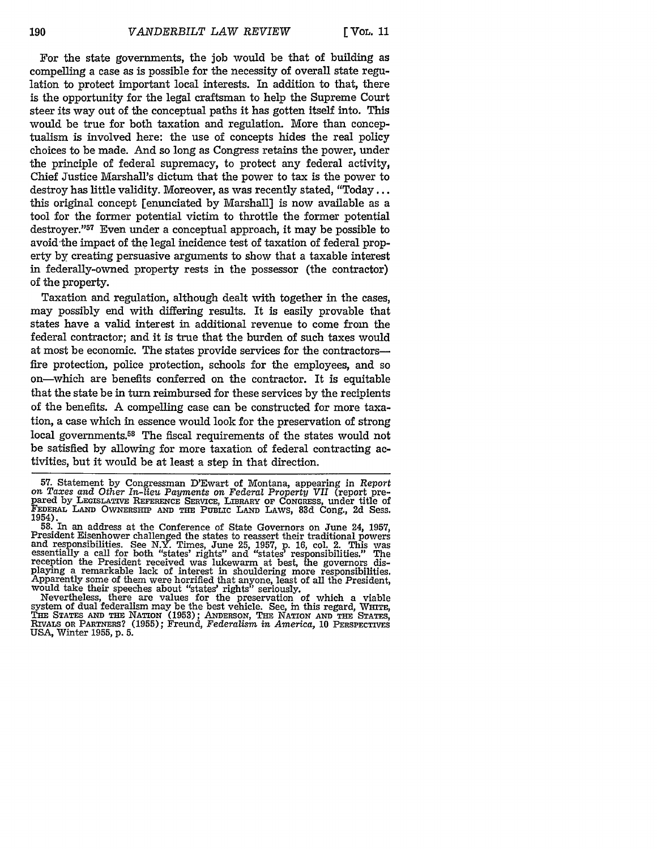[ VOL. **11**

For the state governments, the **job** would be that of building as compelling a case as is possible for the necessity of overall state regulation to protect important local interests. In addition to that, there is the opportunity for the legal craftsman to help the Supreme Court steer its way out of the conceptual paths it has gotten itself into. This would be true for both taxation and regulation. More than conceptualism is involved here: the use of concepts hides the real policy choices to be made. And so long as Congress retains the power, under the principle of federal supremacy, to protect any federal activity, Chief Justice Marshall's dictum that the power to tax is the power to destroy has little validity. Moreover, as was recently stated, "Today... this original concept [enunciated by Marshall] is now available as a tool for the former potential victim to throttle the former potential destroyer."<sup>57</sup> Even under a conceptual approach, it may be possible to avoid-the impact of the legal incidence test of taxation of federal property by creating persuasive arguments to show that a taxable interest in federally-owned property rests in the possessor (the contractor) of the property.

Taxation and regulation, although dealt with together in the cases, may possibly end with differing results. It is easily provable that states have a valid interest in additional revenue to come from the federal contractor; and it is true that the burden of such taxes would at most be economic. The states provide services for the contractorsfire protection, police protection, schools for the employees, and so on-which are benefits conferred on the contractor. It is equitable that the state be in turn reimbursed for these services **by** the recipients of the benefits. A compelling case can be constructed for more taxation, a case which in essence would look for the preservation of strong local governments.<sup>58</sup> The fiscal requirements of the states would not be satisfied **by** allowing for more taxation of federal contracting activities, but it would be at least a step in that direction.

**57.** Statement **by** Congressman D'Ewart of Montana, appearing in Report on Taxes and Other In-lieu Payments on Federal Property VII (report pre-<br>pared by LEGISLATIVE REFERENCE SERVICE, LIBRARY OF CONGRESS, under title of<br>FEDERAL LAND OWNERSHIP AND THE PUBLIC LAND LAWS, 83d Cong., 2d Sess. 1954).<br>
58. In an address at the Conference of State Governors on June 24, 1957,

Desident Eisenhower challenged the states to reassert their traditional powers.<br>and responsibilities. See N.Y. Times, June 25, 1957, p. 16, col. 2. This was<br>essentially a call for both "states' rights" and "states' respons reception the President received was lukewarm at best, the governors displaying a remarkable lack of interest in shouldering more responsibilities. Apparently some of them were horrified that anyone, least of all the President, would take their speeches about "states' rights" seriously.

Nevertheless, there are values for the preservation of which a viable system of dual federalism may be the best vehicle. See, in this regard, WHITE<br>THE STATES AND THE NATION (1953); ANDERSON, THE NATION AND THE STATES<br>RIVALS OR PARTNERS? (1955); Freund, Federalism in America, 10 PERSPECTIVES